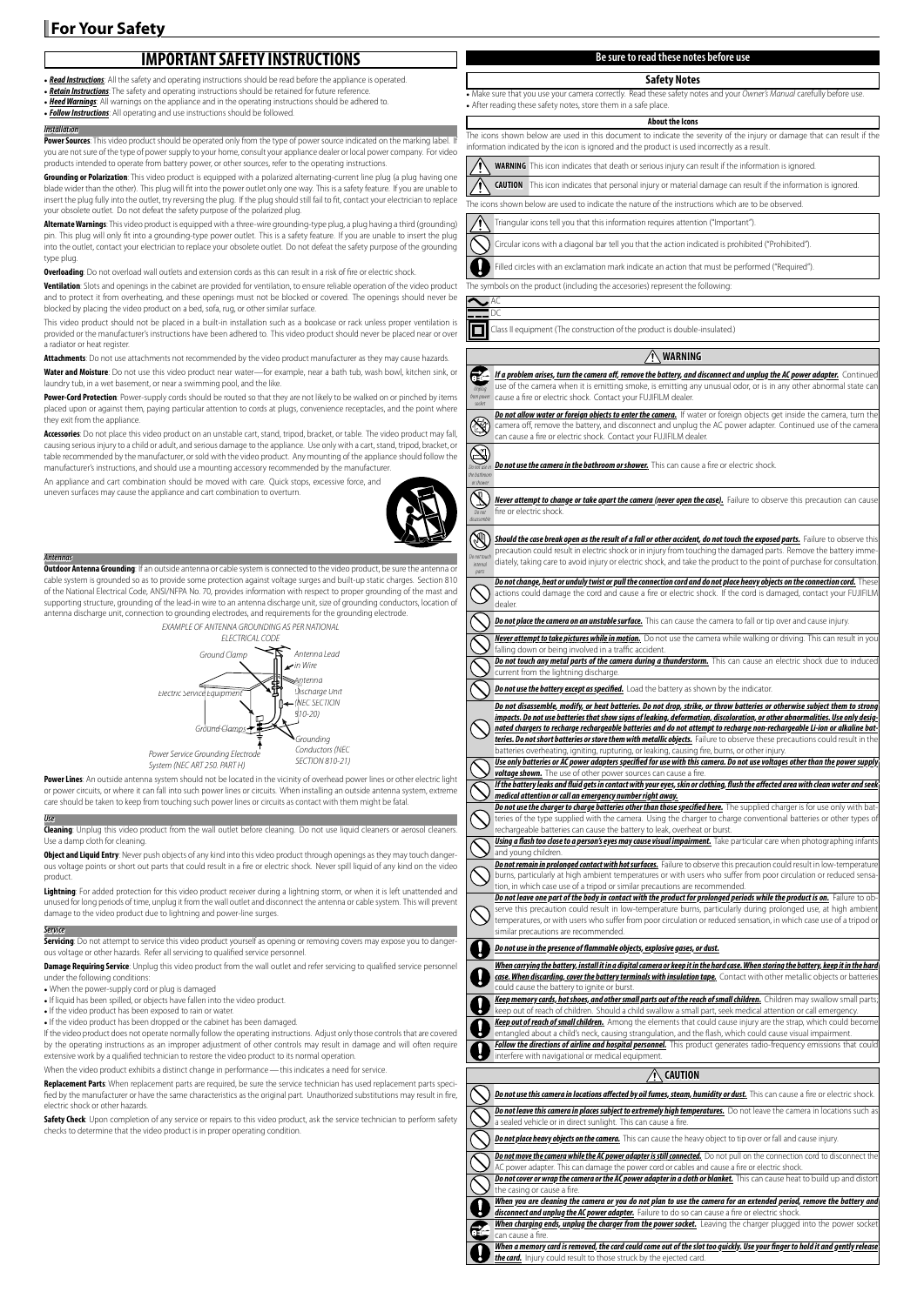# **IMPORTANT SAFETY INSTRUCTIONS**

• *Read Instructions* : All the safety and operating instructions should be read before the appliance is operated. • *Retain Instructions* : The safety and operating instructions should be retained for future reference. • *Heed Warnings*: All warnings on the appliance and in the operating instructions should be adhered to. • *Follow Instructions*: All operating and use instructions should be followed.

*Installation*

Power Sources: This video product should be operated only from the type of power source indicated on the marking label. I you are not sure of the type of power supply to your home, consult your appliance dealer or local power company. For video products intended to operate from battery power, or other sources, refer to the operating instructions.

**Grounding or Polarization**: This video product is equipped with a polarized alternating-current line plug (a plug having one blade wider than the other). This plug will fi t into the power outlet only one way. This is a safety feature. If you are unable to insert the plug fully into the outlet, try reversing the plug. If the plug should still fail to fit, contact your electrician to replace your obsolete outlet. Do not defeat the safety purpose of the polarized plug.

**Alternate Warnings**: This video product is equipped with a three-wire grounding-type plug, a plug having a third (grounding) pin. This plug will only fi t into a grounding-type power outlet. This is a safety feature. If you are unable to insert the plug into the outlet, contact your electrician to replace your obsolete outlet. Do not defeat the safety purpose of the grounding type plug.

**Overloading**: Do not overload wall outlets and extension cords as this can result in a risk of fire or electric shock.

**Ventilation**: Slots and openings in the cabinet are provided for ventilation, to ensure reliable operation of the video product and to protect it from overheating, and these openings must not be blocked or covered. The openings should never be blocked by placing the video product on a bed, sofa, rug, or other similar surface.

This video product should not be placed in a built-in installation such as a bookcase or rack unless proper ventilation is provided or the manufacturer's instructions have been adhered to. This video product should never be placed near or over a radiator or heat register.

**Attachments**: Do not use attachments not recommended by the video product manufacturer as they may cause hazards. **Water and Moisture**: Do not use this video product near water—for example, near a bath tub, wash bowl, kitchen sink, or laundry tub, in a wet basement, or near a swimming pool, and the like.

**Power-Cord Protection**: Power-supply cords should be routed so that they are not likely to be walked on or pinched by items placed upon or against them, paying particular attention to cords at plugs, convenience receptacles, and the point where they exit from the appliance.

**Accessories**: Do not place this video product on an unstable cart, stand, tripod, bracket, or table. The video product may fall, causing serious injury to a child or adult, and serious damage to the appliance. Use only with a cart, stand, tripod, bracket, or<br>table recommended by the manufacturer, or sold with the video product. Any mounting of the a manufacturer's instructions, and should use a mounting accessory recommended by the manufacturer.

An appliance and cart combination should be moved with care. Quick stops, excessive force, and

uneven surfaces may cause the appliance and cart combination to overturn.



*Antennas* **Outdoor Antenna Grounding**: If an outside antenna or cable system is connected to the video product, be sure the antenna or cable system is grounded so as to provide some protection against voltage surges and built-up static charges. Section 810 of the National Electrical Code, ANSI/NFPA No. 70, provides information with respect to proper grounding of the mast and supporting structure, grounding of the lead-in wire to an antenna discharge unit, size of grounding conductors, location of antenna discharge unit, connection to grounding electrodes, and requirements for the grounding electrode.



**Power Lines**: An outside antenna system should not be located in the vicinity of overhead power lines or other electric light or power circuits, or where it can fall into such power lines or circuits. When installing an outside antenna system, extre care should be taken to keep from touching such power lines or circuits as contact with them might be fatal.

*Use* **Cleaning**: Unplug this video product from the wall outlet before cleaning. Do not use liquid cleaners or aerosol cleaners.<br>Use a damp cloth for cleaning.

**Object and Liquid Entry:** Never push objects of any kind into this video product through openings as they may touch dangerous voltage points or short out parts that could result in a fire or electric shock. Never spill liquid of any kind on the video product.

**Lightning**: For added protection for this video product receiver during a lightning storm, or when it is left unattended and unused for long periods of time, unplug it from the wall outlet and disconnect the antenna or cable system. This will prevent damage to the video product due to lightning and power-line surges.

*Service*

**Servidng**: Do not attempt to service this video product yourself as opening or removing covers may expose you to danger-<br>ous voltage or other hazards. Refer all servicing to qualified service personnel.

**Damage Requiring Service**: Unplug this video product from the wall outlet and refer servicing to qualified service personnel under the following conditions:

• When the power-supply cord or plug is damaged

• If liquid has been spilled, or objects have fallen into the video product.

• If the video product has been exposed to rain or water.

• If the video product has been dropped or the cabinet has been damaged.

If the video product does not operate normally follow the operating instructions. Adjust only those controls that are covered by the operating instructions as an improper adjustment of other controls may result in damage and will often require extensive work by a qualified technician to restore the video product to its normal operation.

When the video product exhibits a distinct change in performance — this indicates a need for service.

**Replacement Parts**: When replacement parts are required, be sure the service technician has used replacement parts specified by the manufacturer or have the same characteristics as the original part. Unauthorized substitutions may result in fire, electric shock or other hazards.

**Safety Check**: Upon completion of any service or repairs to this video product, ask the service technician to perform safety checks to determine that the video product is in proper operating condition.

# **Be sure to read these notes before use**

**Safety Notes** • Make sure that you use your camera correctly. Read these safety notes and your *Owner's Manual* carefully before use.

• After reading these safety notes, store them in a safe place **About the Icons** .<br>The icons shown below are used in this document to indicate the severity of the injury or damage that can result if the

information indicated by the icon is ignored and the product is used incorrectly as a result. **WARNING** This icon indicates that death or serious injury can result if the information is ignored

**CAUTION** This icon indicates that personal injury or material damage can result if the information is ignored.  $\sqrt{N}$ 

The icons shown below are used to indicate the nature of the instructions which are to be observed.

Triangular icons tell you that this information requires attention ("Important").

Circular icons with a diagonal bar tell you that the action indicated is prohibited ("Prohibited"). Filled circles with an exclamation mark indicate an action that must be performed ("Required").

The symbols on the product (including the accesories) represent the following:

AC

DC

*or shower*

*disassemble*

*parts*

 $\Box$ Class II equipment (The construction of the product is double-insulated.)

### **WARNING**

*Unplug from power If a problem arises, turn the camera off, remove the battery, and disconnect and unplug the AC power adapter.* Continued of the camera when it is emitting smoke, is emitting any unusual odor, or is in any other abnormal state can cause a fire or electric shock. Contact your FUJIFILM dealer.

*socket* **Do not allow water or foreign objects to enter the camera.** If water or foreign objects get inside the camera, turn the **CONDITE THE CONDITE: CONDITE: CONDITE: CONDITE: CONDITE: CONDITE: CONDITE: CONDITE: CONDITE: CONDITE: CONDITE: CONDITE: CONDITE: CONDITE: CONDITE: CONDITE: CONDITE: CONDITE: CONDITE:**  $\circledR$ an cause a fire or electric shock. Contact your FUJIFILM dealer.

 $\infty$ **Do not use the camera in the bathroom or shower.** This can cause a fire or electric shock *Do not use in the bathroom* 

 $\mathbb{X}$ *Never attempt to change or take apart the camera (never open the case)*. Failure to observe this precaution can caus ire or electric shock *Do not* 

 $\circledR$ **Should the case break open as the result of a fall or other accident, do not touch the exposed parts.** Failure to observe thi prould result in electric shock or in injury from touching the damaged parts. Remove the battery imme-*Do not touch*  diately, taking care to avoid injury or electric shock, and take the product to the point of purchase for consultatio *internal Do not change, heat or unduly twist or pull the connection cord and do not place heavy objects on the connection cord. twist*  These actions could damage the cord and cause a fire or electric shock. If the cord is damaged, contact your FUJIFILM dealer. *Do not place the camera on an unstable surface.* This can cause the camera to fall or tip over and cause injury.

*Never attempt to take pictures while in motion.* Do not use the camera while walking or driving. This can result in you

falling down or being involved in a traffic accident *Do not touch any metal parts of the camera during a thunderstorm.* **This can cause an electric shock due to induce** current from the lightning discharge.

**Do not use the battery except as specified.** Load the battery as shown by the indicator.

*Do not disassemble, modify, or heat batteries. Do not drop, strike, or throw batteries or otherwise subject them to strong drop, to impacts. Do not use batteries that show signs of leaking, deformation, discoloration, or other abnormalities. Use only desig- desig*n**ated chargers to recharge rechargeable batteries and do not attempt to recharge non-rechargeable Li-ion or alkaline bat-<br><mark>teries. Do not short batteries or store them with metallic objects.</mark> Failure to observe these prec** atteries overheating, igniting, rupturing, or leaking, causing fire, burns, or other injury.

*Use only batteries or AC power adapters specified for use with this camera. Do not use voltages other than the power supply* **voltage shown.** The use of other power sources can cause a fin *If the battery leaks and fluid gets in contact with your eyes, skin or clothing, flush the affected area with clean water and seek medical attention or call an emergency number right away.*

**Do not use the charger to charge batteries other than those specified here.** The supplied charger is for use only with bat-<br>teries of the type supplied with the camera. Using the charger to charge conventional batteries o echargeable batteries can cause the battery to leak, overheat or burst.

**Using a flash too close to a person's eyes may cause visual impairment.** Take particular care when photographing infant and voung c

**Do not remain in prolonged contact with hot surfaces.** Failure to observe this precaution could result in low-temperatu burns, particularly at high ambient temperatures or with users who suffer from poor circulation or reduced sensa-<sub>.</sub><br>of a tripod or similar precautions are rec

**Do not leave one part of the body in contact with the product for prolonged periods while the product is on.** Failure to ob-<br>serve this precaution could result in low-temperature burns, particularly during prolonged use, temperatures, or with users who suffer from poor circulation or reduced sensation, in which case use of a tripod o similar precautions are recommended.

*Do not use in the presence of fl ammable objects, explosive gases, or dust.*

can cause a fire.

*When carrying the battery, install it in a digital camera or keep it in the hard case. When storing the battery, keep it in the hard in hard*  a *case. When discarding, cover the battery terminals with insulation tape.* Contact with other metallic objects or batteri could cause the battery to ignite or burst.

*Keep memory cards, hot shoes, and other small parts out of the reach of small children.* Children may swallow small parts; hould a child swallow a small part, seek medical attention or call emergency **Keep out of reach of small children.** Among the elements that could cause injury are the strap, which could become A

entangled about a child's neck, causing strangulation, and the flash, which could cause visual impairment Follow the directions of airline and hospital personnel. This product generates radio-frequency emissions that could with navigational or medical equipment

 $\wedge$  Caution **Do not use this camera in locations affected by oil fumes, steam, humidity or dust.** This can cause a fire or electric shock **Do not leave this camera in places subject to extremely high temperatures.** Do not leave the camera in locations such a a sicle or in direct sunlight. This can cause a fi **Do not place heavy objects on the camera.** This can cause the heavy object to tip over or fall and cause injury

**Do not move the camera while the AC power adapter is still connected.** Do not pull on the connection cord to disconnect the

er adanter. This can damage the power cord or cables and cause a fire or electric shock **Do not cover or wrap the camera or the AC power adapter in a cloth or blanket.** This can cause heat to build up and disto the casing or cause a fire

*When you are cleaning the camera or you do not plan to use the camera for an extended period, remove the battery an* **disconnect and unplug the AC power adapter.** Failure to do so can cause a fire or electric When charging ends, unplug the charger from the power socket. Leaving the charger plugged into the power socket

*When a memory card is removed, the card could come out of the slot too quickly. Use your finger to hold it and gently release gently release gently release gently release gently release gently release gently release gentl the card.* Injury could result to those struck by the ejected card.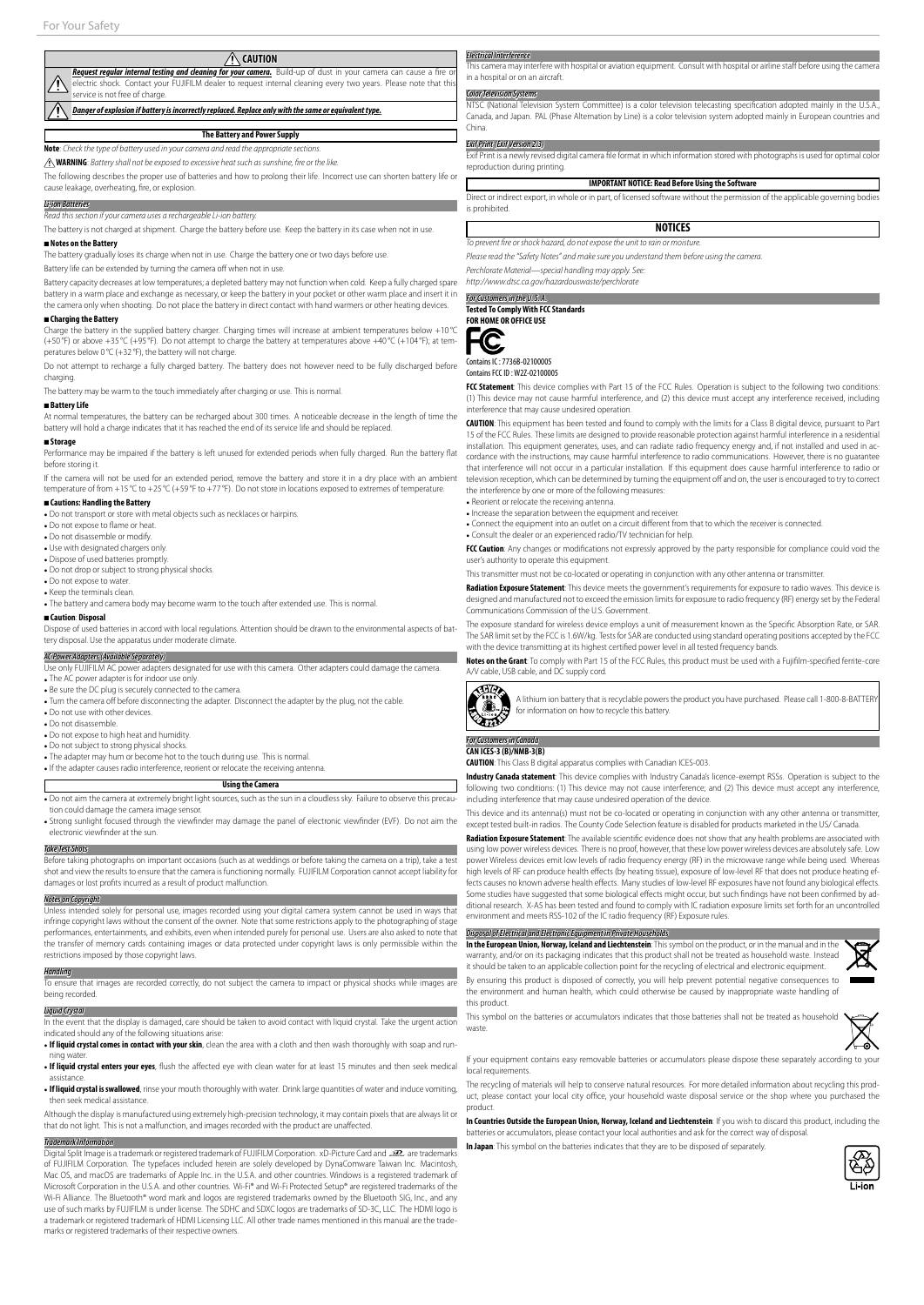$\bigwedge$  Caution **Request regular internal testing and cleaning for your camera.** Build-up of dust in your camera can cause a fire or<br>electric shock. Contact your FUJIFILM dealer to request internal cleaning every two years. Please note th ............<br>ervice is not free of chard *Danger of explosion if battery is incorrectly replaced. Replace only with the same or equivalent type.*  **The Battery and Power Supply**

Note: Check the type of battery used in your camera and read the appropriate sections.

A WARNING: Battery shall not be exposed to excessive heat such as sunshine, fire or the like.

The following describes the proper use of batteries and how to prolong their life. Incorrect use can shorten battery life or<br>cause leakage, overheating, fire, or explosion.

### *Li-ion Batteries*

*Read this section if your camera uses a rechargeable Li-ion battery.*

The battery is not charged at shipment. Charge the battery before use. Keep the battery in its case when not in use ■ **Notes on the Battery**

The battery gradually loses its charge when not in use. Charge the battery one or two days before use.

Battery life can be extended by turning the camera off when not in use

Battery capacity decreases at low temperatures; a depleted battery may not function when cold. Keep a fully charged spare battery in a warm place and exchange as necessary, or keep the battery in your pocket or other warm place and insert it in<br>the camera only when shooting. Do not place the battery in direct contact with hand warmers or othe

### ■ **Charging the Battery**

Charge the battery in the supplied battery charger. Charging times will increase at ambient temperatures below +10℃<br>(+50℉) or above +35℃ (+95℉). Do not attempt to charge the battery at temperatures above +40℃ (+104℉); at peratures below  $0^\circ\text{C}$  (+32 °F), the battery will not charge.

Do not attempt to recharge a fully charged battery. The battery does not however need to be fully discharged before charging.

The battery may be warm to the touch immediately after charging or use. This is normal.

# ■ **Battery Life**

**A** temperatures, the battery can be recharged about 300 times. A noticeable decrease in the length of time the battery will hold a charge indicates that it has reached the end of its service life and should be replaced.

### ■ **Storage**

Performance may be impaired if the battery is left unused for extended periods when fully charged. Run the battery flat before storing it.

If the camera will not be used for an extended period, remove the battery and store it in a dry place with an ambient temperature of from +15 °C to +25 °C (+59 °F to +77 °F). Do not store in locations exposed to extremes of temperature.

### ■ **Cautions: Handling the Battery**

• Do not transport or store with metal objects such as necklaces or hairpins.

- Do not expose to flame or heat. • Do not disassemble or modify.
- Use with designated chargers only
- Dispose of used batteries promptly.
- Do not drop or subject to strong physical shocks.
- Do not expose to water
- Keep the terminals clean.

• The battery and camera body may become warm to the touch after extended use. This is normal.

### ■ **Caution**: **Disposal**

Dispose of used batteries in accord with local regulations. Attention should be drawn to the environmental aspects of bat-tery disposal. Use the apparatus under moderate climate.

### *AC Power Adapters (Available Separately)*

- Use only FUJIFILM AC power adapters designated for use with this camera. Other adapters could damage the camera. • The AC power adapter is for indoor use only.
- 
- Be sure the DC plug is securely connected to the camera. Turn the camera off before disconnecting the adapter. Disconnect the adapter by the plug, not the cable.
- Do not use with other devices.
- Do not disassemble.
- Do not expose to high heat and humidity.
- 
- Do not subject to strong physical shocks. The adapter may hum or become hot to the touch during use. This is normal.

• If the adapter causes radio interference, reorient or relocate the receiving antenna.

**Using the Camera** • Do not aim the camera at extremely bright light sources, such as the sun in a cloudless sky. Failure to observe this precaution could damage the camera image sensor.

• Strong sunlight focused through the viewfinder may damage the panel of electronic viewfinder (EVF). Do not aim the electronic viewfinder at the sun.

### *Take Test Shots*

................<br>ore taking photographs on important occasions (such as at weddings or before taking the camera on a trip), take a tes shot and view the results to ensure that the camera is functioning normally. FUJIFILM Corporation cannot accept liability for damages or lost profits incurred as a result of product malfunction.

### *Notes on Copyright*

Unless intended solely for personal use, images recorded using your digital camera system cannot be used in ways that infringe copyright laws without the consent of the owner. Note that some restrictions apply to the photographing of stage performances, entertainments, and exhibits, even when intended purely for personal use. Users are also asked to note that the transfer of memory cards containing images or data protected under copyright laws is only permissible within the restrictions imposed by those copyright laws.

## *Handling*

To ensure that images are recorded correctly, do not subject the camera to impact or physical shocks while images are being recorded.

# *Liquid Crystal*

In the event that the display is damaged, care should be taken to avoid contact with liquid crystal. Take the urgent action indicated should any of the following situations arise:

• **If liquid crystal comes in contact with your skin**, clean the area with a cloth and then wash thoroughly with soap and running water.

• If liquid crystal enters your eves, flush the affected eve with clean water for at least 15 minutes and then seek medical assistance.

• **If liquid crystal is swallowed**, rinse your mouth thoroughly with water. Drink large quantities of water and induce vomiting, then seek medical assistance.

Although the display is manufactured using extremely high-precision technology, it may contain pixels that are always lit or that do not light. This is not a malfunction, and images recorded with the product are unaffected.

### *Trademark Information*

Digital Split Image is a trademark or registered trademark of FUJIFILM Corporation. xD-Picture Card and E are trademarks of FUJIFILM Corporation. The typefaces included herein are solely developed by DynaComware Taiwan Inc. Macintosh,<br>Mac OS, and macOS are trademarks of Apple Inc. in the U.S.A. and other countries. Windows is a registered tr Microsoft Corporation in the U.S.A. and other countries. Wi-Fi® and Wi-Fi Protected Setup® are registered trademarks of the Wi-Fi Alliance. The Bluetooth® word mark and logos are registered trademarks owned by the Bluetooth SIG, Inc., and any<br>use of such marks by FUJIFILM is under license. The SDHC and SDXC logos are trademarks of SD-3C, LLC. T a trademark or registered trademark of HDMI Licensing LLC. All other trade names mentioned in this manual are the trade-marks or registered trademarks of their respective owners.

*Electrical Interference* This camera may interfere with hospital or aviation equipment. Consult with hospital or airline staff before using the camera in a hospital or on an aircraft.

### *Color Television Systems*

SC (National Television System Committee) is a color television telecasting specification adopted mainly in the U.S.A. Canada, and Japan. PAL (Phase Alternation by Line) is a color television system adopted mainly in European countries and China.

### *Exif Print (Exif Version 2.3)*

Exif Print is a newly revised digital camera file format in which information stored with photographs is used for optimal color<br>reproduction during printing.

**IMPORTANT NOTICE: Read Before Using the Software**

Direct or indirect export, in whole or in part, of licensed software without the permission of the applicable governing bodies is prohibited.

## **NOTICES**

*To prevent fi re or shock hazard, do not expose the unit to rain or moisture.*

*Please read the "Safety Notes" and make sure you understand them before using the camera.*

*Perchlorate Material—special handling may apply. See: http://www.dtsc.ca.gov/hazardouswaste/perchlorate*

*For Customers in the U. S. A.*

**Tested To Comply With FCC Standards**



Contains FCC ID : W2Z-02100005

**FCC Statement**: This device complies with Part 15 of the FCC Rules. Operation is subject to the following two conditions: (1) This device may not cause harmful interference, and (2) this device must accept any interference received, including interference that may cause undesired operation.

**CAUTION**: This equipment has been tested and found to comply with the limits for a Class B digital device, pursuant to Part 15 of the FCC Rules. These limits are designed to provide reasonable protection against harmful interference in a residential installation. This equipment generates, uses, and can radiate radio frequency energy and, if not installed and used in accordance with the instructions, may cause harmful interference to radio communications. However, there is no guarantee that interference will not occur in a particular installation. If this equipment does cause harmful interference to radio or<br>television reception, which can be determined by turning the equipment off and on, the user is en the interference by one or more of the following measures:

• Reorient or relocate the receiving antenna.

• Increase the separation between the equipment and receiver.

• Connect the equipment into an outlet on a circuit different from that to which the receiver is connected.<br>• Consult the dealer or an experienced radio/TV technician for help.

FCC Caution: Any changes or modifications not expressly approved by the party responsible for compliance could void the user's authority to operate this equipment.

This transmitter must not be co-located or operating in conjunction with any other antenna or transmitter.

**Radiation Exposure Statement**: This device meets the government's requirements for exposure to radio waves. This device is designed and manufactured not to exceed the emission limits for exposure to radio frequency (RF) energy set by the Federal Communications Commission of the U.S. Government.

The exposure standard for wireless device employs a unit of measurement known as the Specific Absorption Rate, or SAR. The SAR limit set by the FCC is 1.6W/kg. Tests for SAR are conducted using standard operating positions accepted by the FCC with the device transmitting at its highest certified power level in all tested frequency bands.

Notes on the Grant: To comply with Part 15 of the FCC Rules, this product must be used with a Fujifilm-specified ferrite-core A/V cable, USB cable, and DC supply cord.



A lithium ion battery that is recyclable powers the product you have purchased. Please call 1-800-8-BATTERY for information on how to recycle this battery.

### *For Customers in Canada* **CAN ICES-3 (B)/NMB-3(B)**

**CAUTION**: This Class B digital apparatus complies with Canadian ICES-003.

**Industry Canada statement**: This device complies with Industry Canada's licence-exempt RSSs. Operation is subject to the following two conditions: (1) This device may not cause interference; and (2) This device must accept any interference, including interference that may cause undesired operation of the device.

This device and its antenna(s) must not be co-located or operating in conjunction with any other antenna or transmit except tested built-in radios. The County Code Selection feature is disabled for products marketed in the US/ Canada.

**Radiation Exposure Statement**: The available scientific evidence does not show that any health problems are associated with using low power wireless devices. There is no proof, however, that these low power wireless devices are absolutely safe. Low power Wireless devices emit low levels of radio frequency energy (RF) in the microwave range while being used. Whereas high levels of RF can produce health effects (by heating tissue), exposure of low-level RF that does not produce heating ef-<br>fects causes no known adverse health effects. Many studies of low-level RF exposures have not fou Some studies have suggested that some biological effects might occur, but such findings have not been confirmed by additional research. X-A5 has been tested and found to comply with IC radiation exposure limits set forth for an uncontrolled environment and meets RSS-102 of the IC radio frequency (RF) Exposure rules.

*Disposal of Electrical and Electronic Equipment in Private Households* **In the European Union, Norway, Iceland and Liechtenstein**: This symbol on the product, or in the manual and in the warranty, and/or on its packaging indicates that this product shall not be treated as household waste. Instead it should be taken to an applicable collection point for the recycling of electrical and electronic equipment.

By ensuring this product is disposed of correctly, you will help prevent potential negative consequences to the environment and human health, which could otherwise be caused by inappropriate waste handling of this product.

This symbol on the batteries or accumulators indicates that those batteries shall not be treated as household waste.



If your equipment contains easy removable batteries or accumulators please dispose these separately according to your local requirements.

The recycling of materials will help to conserve natural resources. For more detailed information about recycling this product, please contact your local city office, your household waste disposal service or the shop where you purchased the product.

**In Countries Outside the European Union, Norway, Iceland and Liechtenstein**: If you wish to discard this product, including the batteries or accumulators, please contact your local authorities and ask for the correct way of disposal.

**In Japan**: This symbol on the batteries indicates that they are to be disposed of separately.